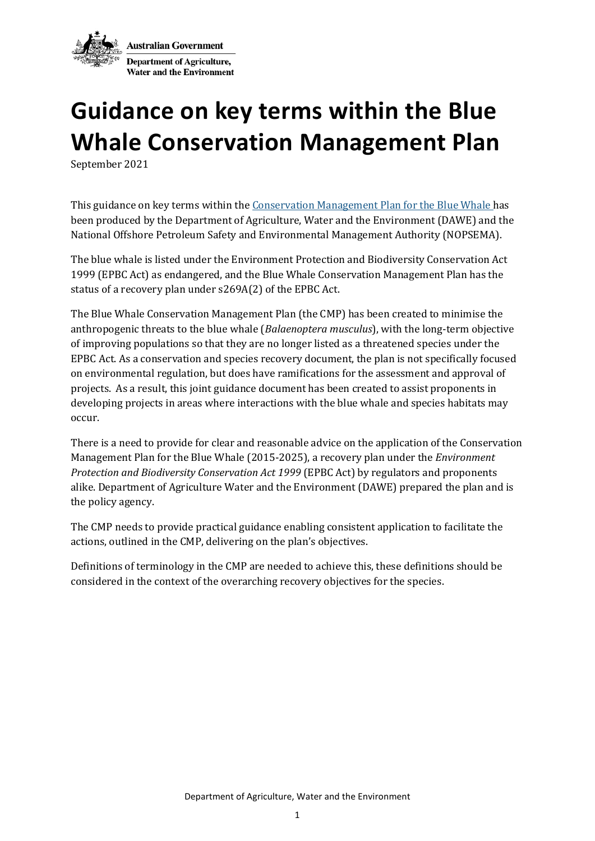

## **Guidance on key terms within the Blue Whale Conservation Management Plan**

September 2021

This guidance on key terms within th[e Conservation Management Plan for the Blue Whale](http://www.environment.gov.au/system/files/resources/9c058c02-afd1-4e5d-abff-11cac2ebc486/files/blue-whale-conservation-management-plan.pdf) has been produced by the Department of Agriculture, Water and the Environment (DAWE) and the National Offshore Petroleum Safety and Environmental Management Authority (NOPSEMA).

The blue whale is listed under the Environment Protection and Biodiversity Conservation Act 1999 (EPBC Act) as endangered, and the Blue Whale Conservation Management Plan has the status of a recovery plan under s269A(2) of the EPBC Act.

The Blue Whale Conservation Management Plan (the CMP) has been created to minimise the anthropogenic threats to the blue whale (*Balaenoptera musculus*), with the long-term objective of improving populations so that they are no longer listed as a threatened species under the EPBC Act. As a conservation and species recovery document, the plan is not specifically focused on environmental regulation, but does have ramifications for the assessment and approval of projects. As a result, this joint guidance document has been created to assist proponents in developing projects in areas where interactions with the blue whale and species habitats may occur.

There is a need to provide for clear and reasonable advice on the application of the Conservation Management Plan for the Blue Whale (2015-2025), a recovery plan under the *Environment Protection and Biodiversity Conservation Act 1999* (EPBC Act) by regulators and proponents alike. Department of Agriculture Water and the Environment (DAWE) prepared the plan and is the policy agency.

The CMP needs to provide practical guidance enabling consistent application to facilitate the actions, outlined in the CMP, delivering on the plan's objectives.

Definitions of terminology in the CMP are needed to achieve this, these definitions should be considered in the context of the overarching recovery objectives for the species.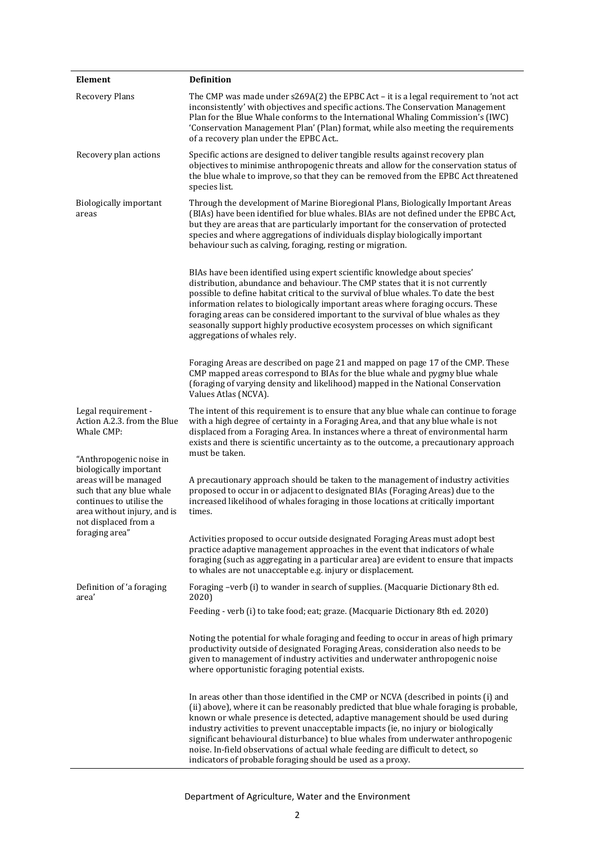| Element                                                                                                                                                                                                                                                                         | <b>Definition</b>                                                                                                                                                                                                                                                                                                                                                                                                                                                                                                                                                                              |
|---------------------------------------------------------------------------------------------------------------------------------------------------------------------------------------------------------------------------------------------------------------------------------|------------------------------------------------------------------------------------------------------------------------------------------------------------------------------------------------------------------------------------------------------------------------------------------------------------------------------------------------------------------------------------------------------------------------------------------------------------------------------------------------------------------------------------------------------------------------------------------------|
| <b>Recovery Plans</b>                                                                                                                                                                                                                                                           | The CMP was made under s269A(2) the EPBC Act - it is a legal requirement to 'not act<br>inconsistently' with objectives and specific actions. The Conservation Management<br>Plan for the Blue Whale conforms to the International Whaling Commission's (IWC)<br>'Conservation Management Plan' (Plan) format, while also meeting the requirements<br>of a recovery plan under the EPBC Act                                                                                                                                                                                                    |
| Recovery plan actions                                                                                                                                                                                                                                                           | Specific actions are designed to deliver tangible results against recovery plan<br>objectives to minimise anthropogenic threats and allow for the conservation status of<br>the blue whale to improve, so that they can be removed from the EPBC Act threatened<br>species list.                                                                                                                                                                                                                                                                                                               |
| <b>Biologically important</b><br>areas                                                                                                                                                                                                                                          | Through the development of Marine Bioregional Plans, Biologically Important Areas<br>(BIAs) have been identified for blue whales. BIAs are not defined under the EPBC Act,<br>but they are areas that are particularly important for the conservation of protected<br>species and where aggregations of individuals display biologically important<br>behaviour such as calving, foraging, resting or migration.                                                                                                                                                                               |
|                                                                                                                                                                                                                                                                                 | BIAs have been identified using expert scientific knowledge about species'<br>distribution, abundance and behaviour. The CMP states that it is not currently<br>possible to define habitat critical to the survival of blue whales. To date the best<br>information relates to biologically important areas where foraging occurs. These<br>foraging areas can be considered important to the survival of blue whales as they<br>seasonally support highly productive ecosystem processes on which significant<br>aggregations of whales rely.                                                 |
|                                                                                                                                                                                                                                                                                 | Foraging Areas are described on page 21 and mapped on page 17 of the CMP. These<br>CMP mapped areas correspond to BIAs for the blue whale and pygmy blue whale<br>(foraging of varying density and likelihood) mapped in the National Conservation<br>Values Atlas (NCVA).                                                                                                                                                                                                                                                                                                                     |
| Legal requirement -<br>Action A.2.3. from the Blue<br>Whale CMP:<br>"Anthropogenic noise in<br>biologically important<br>areas will be managed<br>such that any blue whale<br>continues to utilise the<br>area without injury, and is<br>not displaced from a<br>foraging area" | The intent of this requirement is to ensure that any blue whale can continue to forage<br>with a high degree of certainty in a Foraging Area, and that any blue whale is not<br>displaced from a Foraging Area. In instances where a threat of environmental harm<br>exists and there is scientific uncertainty as to the outcome, a precautionary approach<br>must be taken.                                                                                                                                                                                                                  |
|                                                                                                                                                                                                                                                                                 | A precautionary approach should be taken to the management of industry activities<br>proposed to occur in or adjacent to designated BIAs (Foraging Areas) due to the<br>increased likelihood of whales foraging in those locations at critically important<br>times.                                                                                                                                                                                                                                                                                                                           |
|                                                                                                                                                                                                                                                                                 | Activities proposed to occur outside designated Foraging Areas must adopt best<br>practice adaptive management approaches in the event that indicators of whale<br>foraging (such as aggregating in a particular area) are evident to ensure that impacts<br>to whales are not unacceptable e.g. injury or displacement.                                                                                                                                                                                                                                                                       |
| Definition of 'a foraging<br>area'                                                                                                                                                                                                                                              | Foraging -verb (i) to wander in search of supplies. (Macquarie Dictionary 8th ed.<br>2020)                                                                                                                                                                                                                                                                                                                                                                                                                                                                                                     |
|                                                                                                                                                                                                                                                                                 | Feeding - verb (i) to take food; eat; graze. (Macquarie Dictionary 8th ed. 2020)                                                                                                                                                                                                                                                                                                                                                                                                                                                                                                               |
|                                                                                                                                                                                                                                                                                 | Noting the potential for whale foraging and feeding to occur in areas of high primary<br>productivity outside of designated Foraging Areas, consideration also needs to be<br>given to management of industry activities and underwater anthropogenic noise<br>where opportunistic foraging potential exists.                                                                                                                                                                                                                                                                                  |
|                                                                                                                                                                                                                                                                                 | In areas other than those identified in the CMP or NCVA (described in points (i) and<br>(ii) above), where it can be reasonably predicted that blue whale foraging is probable,<br>known or whale presence is detected, adaptive management should be used during<br>industry activities to prevent unacceptable impacts (ie, no injury or biologically<br>significant behavioural disturbance) to blue whales from underwater anthropogenic<br>noise. In-field observations of actual whale feeding are difficult to detect, so<br>indicators of probable foraging should be used as a proxy. |